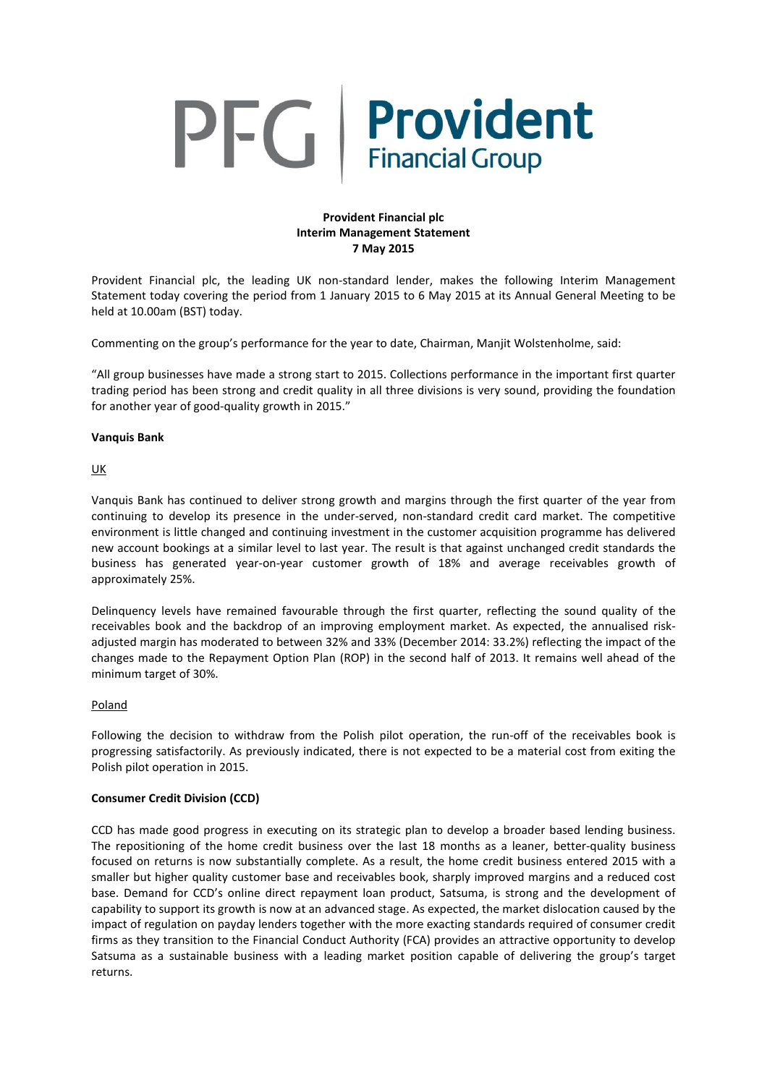# PFG Provident

# **Provident Financial plc Interim Management Statement 7 May 2015**

Provident Financial plc, the leading UK non-standard lender, makes the following Interim Management Statement today covering the period from 1 January 2015 to 6 May 2015 at its Annual General Meeting to be held at 10.00am (BST) today.

Commenting on the group's performance for the year to date, Chairman, Manjit Wolstenholme, said:

"All group businesses have made a strong start to 2015. Collections performance in the important first quarter trading period has been strong and credit quality in all three divisions is very sound, providing the foundation for another year of good-quality growth in 2015."

# **Vanquis Bank**

UK

Vanquis Bank has continued to deliver strong growth and margins through the first quarter of the year from continuing to develop its presence in the under-served, non-standard credit card market. The competitive environment is little changed and continuing investment in the customer acquisition programme has delivered new account bookings at a similar level to last year. The result is that against unchanged credit standards the business has generated year-on-year customer growth of 18% and average receivables growth of approximately 25%.

Delinquency levels have remained favourable through the first quarter, reflecting the sound quality of the receivables book and the backdrop of an improving employment market. As expected, the annualised riskadjusted margin has moderated to between 32% and 33% (December 2014: 33.2%) reflecting the impact of the changes made to the Repayment Option Plan (ROP) in the second half of 2013. It remains well ahead of the minimum target of 30%.

# Poland

Following the decision to withdraw from the Polish pilot operation, the run-off of the receivables book is progressing satisfactorily. As previously indicated, there is not expected to be a material cost from exiting the Polish pilot operation in 2015.

# **Consumer Credit Division (CCD)**

CCD has made good progress in executing on its strategic plan to develop a broader based lending business. The repositioning of the home credit business over the last 18 months as a leaner, better-quality business focused on returns is now substantially complete. As a result, the home credit business entered 2015 with a smaller but higher quality customer base and receivables book, sharply improved margins and a reduced cost base. Demand for CCD's online direct repayment loan product, Satsuma, is strong and the development of capability to support its growth is now at an advanced stage. As expected, the market dislocation caused by the impact of regulation on payday lenders together with the more exacting standards required of consumer credit firms as they transition to the Financial Conduct Authority (FCA) provides an attractive opportunity to develop Satsuma as a sustainable business with a leading market position capable of delivering the group's target returns.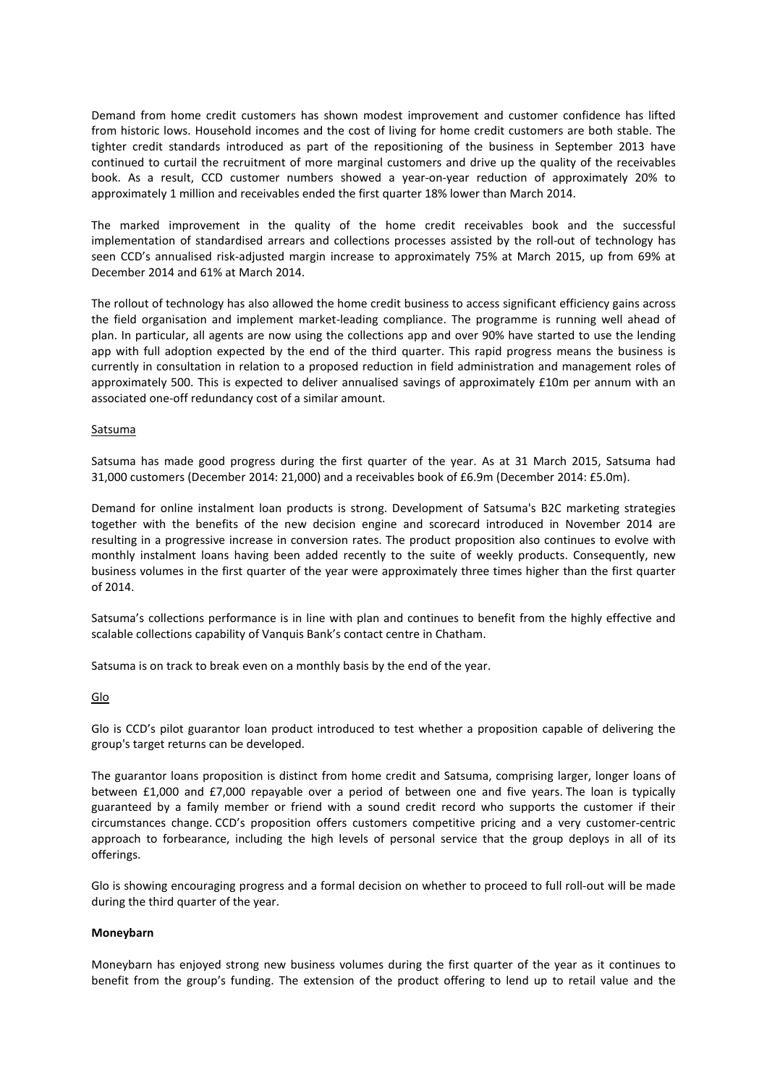Demand from home credit customers has shown modest improvement and customer confidence has lifted from historic lows. Household incomes and the cost of living for home credit customers are both stable. The tighter credit standards introduced as part of the repositioning of the business in September 2013 have continued to curtail the recruitment of more marginal customers and drive up the quality of the receivables book. As a result, CCD customer numbers showed a year-on-year reduction of approximately 20% to approximately 1 million and receivables ended the first quarter 18% lower than March 2014.

The marked improvement in the quality of the home credit receivables book and the successful implementation of standardised arrears and collections processes assisted by the roll-out of technology has seen CCD's annualised risk-adjusted margin increase to approximately 75% at March 2015, up from 69% at December 2014 and 61% at March 2014.

The rollout of technology has also allowed the home credit business to access significant efficiency gains across the field organisation and implement market-leading compliance. The programme is running well ahead of plan. In particular, all agents are now using the collections app and over 90% have started to use the lending app with full adoption expected by the end of the third quarter. This rapid progress means the business is currently in consultation in relation to a proposed reduction in field administration and management roles of approximately 500. This is expected to deliver annualised savings of approximately £10m per annum with an associated one-off redundancy cost of a similar amount.

## **Satsuma**

Satsuma has made good progress during the first quarter of the year. As at 31 March 2015, Satsuma had 31,000 customers (December 2014: 21,000) and a receivables book of £6.9m (December 2014: £5.0m).

Demand for online instalment loan products is strong. Development of Satsuma's B2C marketing strategies together with the benefits of the new decision engine and scorecard introduced in November 2014 are resulting in a progressive increase in conversion rates. The product proposition also continues to evolve with monthly instalment loans having been added recently to the suite of weekly products. Consequently, new business volumes in the first quarter of the year were approximately three times higher than the first quarter of 2014.

Satsuma's collections performance is in line with plan and continues to benefit from the highly effective and scalable collections capability of Vanquis Bank's contact centre in Chatham.

Satsuma is on track to break even on a monthly basis by the end of the year.

#### **Glo**

Glo is CCD's pilot guarantor loan product introduced to test whether a proposition capable of delivering the group's target returns can be developed.

The guarantor loans proposition is distinct from home credit and Satsuma, comprising larger, longer loans of between £1,000 and £7,000 repayable over a period of between one and five years. The loan is typically guaranteed by a family member or friend with a sound credit record who supports the customer if their circumstances change. CCD's proposition offers customers competitive pricing and a very customer-centric approach to forbearance, including the high levels of personal service that the group deploys in all of its offerings.

Glo is showing encouraging progress and a formal decision on whether to proceed to full roll-out will be made during the third quarter of the year.

#### **Moneybarn**

Moneybarn has enjoyed strong new business volumes during the first quarter of the year as it continues to benefit from the group's funding. The extension of the product offering to lend up to retail value and the